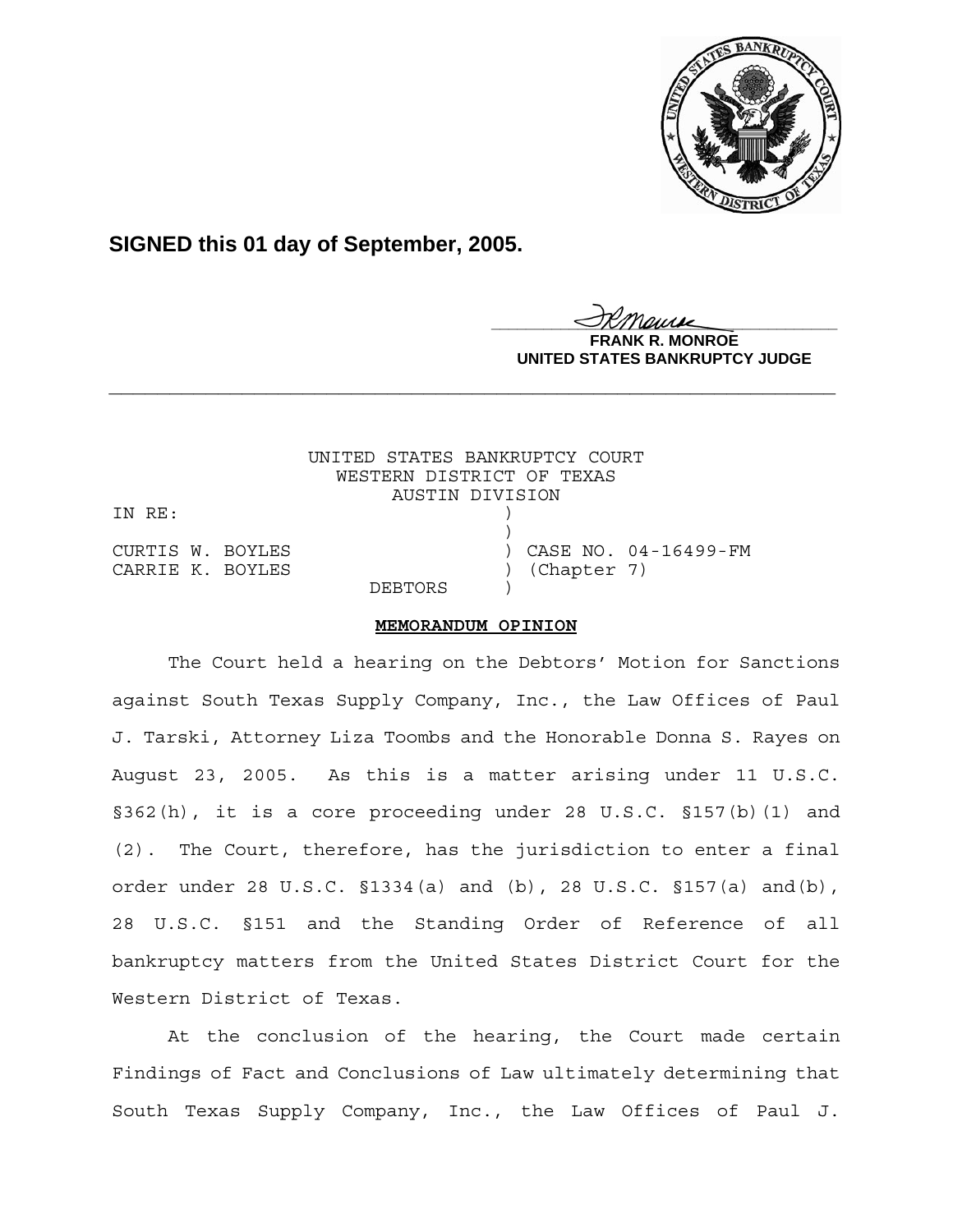

**SIGNED this 01 day of September, 2005.**

<u>IKThemse</u>

**R. MONROE UNITED STATES BANKRUPTCY JUDGE**

## UNITED STATES BANKRUPTCY COURT WESTERN DISTRICT OF TEXAS AUSTIN DIVISION IN RE:  $)$ CURTIS W. BOYLES ) CASE NO. 04-16499-FM CARRIE K. BOYLES ) (Chapter 7) DEBTORS )

## **MEMORANDUM OPINION**

**\_\_\_\_\_\_\_\_\_\_\_\_\_\_\_\_\_\_\_\_\_\_\_\_\_\_\_\_\_\_\_\_\_\_\_\_\_\_\_\_\_\_\_\_\_\_\_\_\_\_\_\_\_\_\_\_\_\_\_\_**

The Court held a hearing on the Debtors' Motion for Sanctions against South Texas Supply Company, Inc., the Law Offices of Paul J. Tarski, Attorney Liza Toombs and the Honorable Donna S. Rayes on August 23, 2005. As this is a matter arising under 11 U.S.C. §362(h), it is a core proceeding under 28 U.S.C. §157(b)(1) and (2). The Court, therefore, has the jurisdiction to enter a final order under 28 U.S.C. §1334(a) and (b), 28 U.S.C. §157(a) and(b), 28 U.S.C. §151 and the Standing Order of Reference of all bankruptcy matters from the United States District Court for the Western District of Texas.

At the conclusion of the hearing, the Court made certain Findings of Fact and Conclusions of Law ultimately determining that South Texas Supply Company, Inc., the Law Offices of Paul J.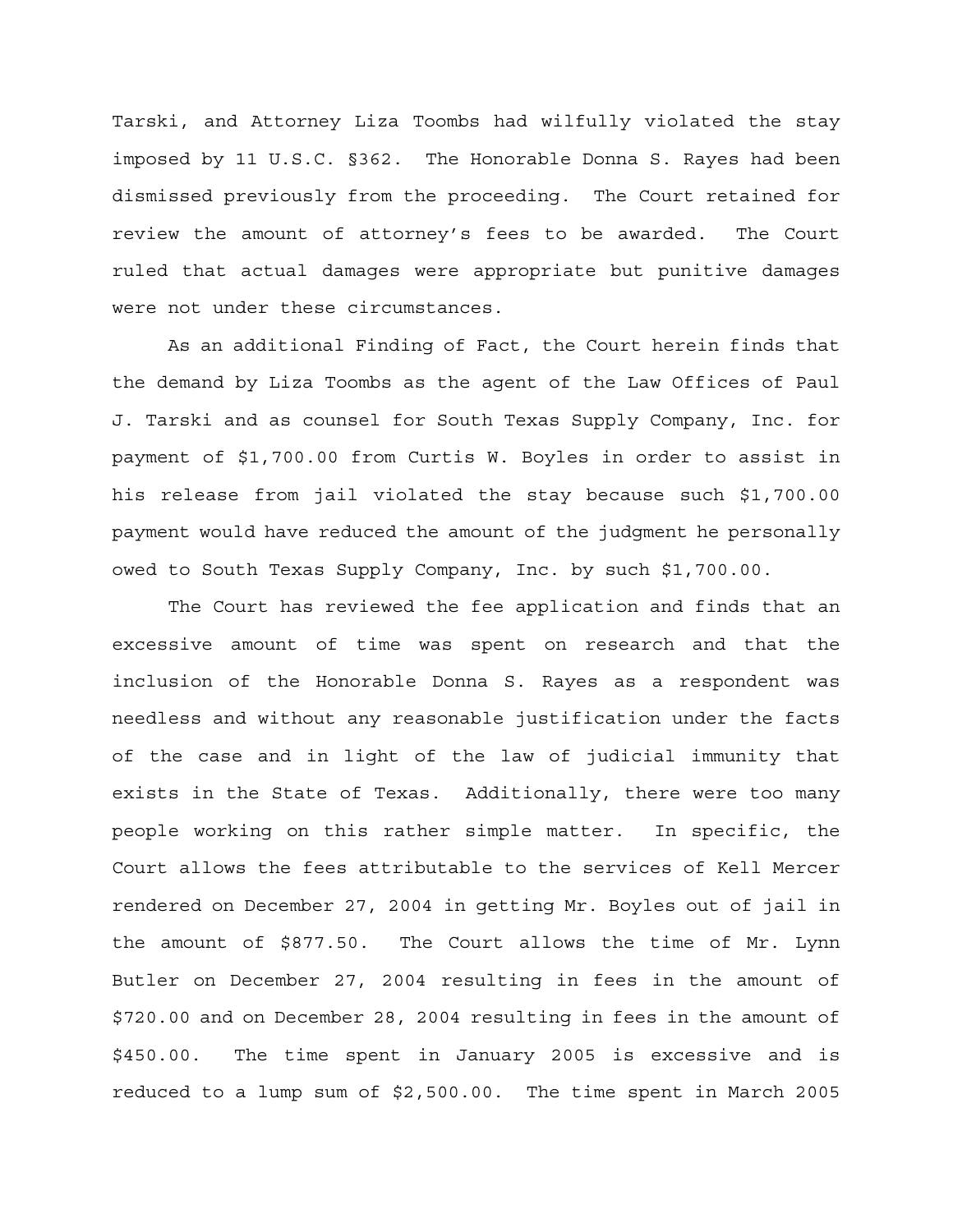Tarski, and Attorney Liza Toombs had wilfully violated the stay imposed by 11 U.S.C. §362. The Honorable Donna S. Rayes had been dismissed previously from the proceeding. The Court retained for review the amount of attorney's fees to be awarded. The Court ruled that actual damages were appropriate but punitive damages were not under these circumstances.

As an additional Finding of Fact, the Court herein finds that the demand by Liza Toombs as the agent of the Law Offices of Paul J. Tarski and as counsel for South Texas Supply Company, Inc. for payment of \$1,700.00 from Curtis W. Boyles in order to assist in his release from jail violated the stay because such \$1,700.00 payment would have reduced the amount of the judgment he personally owed to South Texas Supply Company, Inc. by such \$1,700.00.

The Court has reviewed the fee application and finds that an excessive amount of time was spent on research and that the inclusion of the Honorable Donna S. Rayes as a respondent was needless and without any reasonable justification under the facts of the case and in light of the law of judicial immunity that exists in the State of Texas. Additionally, there were too many people working on this rather simple matter. In specific, the Court allows the fees attributable to the services of Kell Mercer rendered on December 27, 2004 in getting Mr. Boyles out of jail in the amount of \$877.50. The Court allows the time of Mr. Lynn Butler on December 27, 2004 resulting in fees in the amount of \$720.00 and on December 28, 2004 resulting in fees in the amount of \$450.00. The time spent in January 2005 is excessive and is reduced to a lump sum of \$2,500.00. The time spent in March 2005